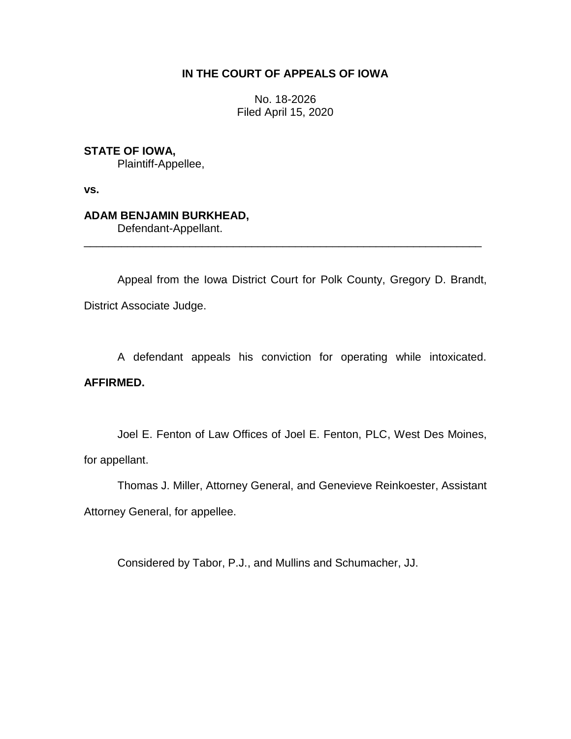# **IN THE COURT OF APPEALS OF IOWA**

No. 18-2026 Filed April 15, 2020

# **STATE OF IOWA,**

Plaintiff-Appellee,

**vs.**

# **ADAM BENJAMIN BURKHEAD,**

Defendant-Appellant.

Appeal from the Iowa District Court for Polk County, Gregory D. Brandt, District Associate Judge.

\_\_\_\_\_\_\_\_\_\_\_\_\_\_\_\_\_\_\_\_\_\_\_\_\_\_\_\_\_\_\_\_\_\_\_\_\_\_\_\_\_\_\_\_\_\_\_\_\_\_\_\_\_\_\_\_\_\_\_\_\_\_\_\_

A defendant appeals his conviction for operating while intoxicated.

## **AFFIRMED.**

Joel E. Fenton of Law Offices of Joel E. Fenton, PLC, West Des Moines, for appellant.

Thomas J. Miller, Attorney General, and Genevieve Reinkoester, Assistant Attorney General, for appellee.

Considered by Tabor, P.J., and Mullins and Schumacher, JJ.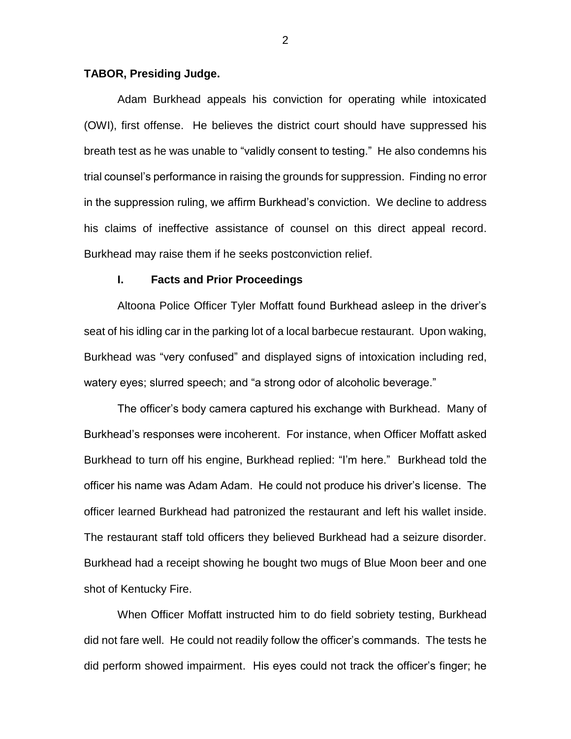### **TABOR, Presiding Judge.**

Adam Burkhead appeals his conviction for operating while intoxicated (OWI), first offense. He believes the district court should have suppressed his breath test as he was unable to "validly consent to testing." He also condemns his trial counsel's performance in raising the grounds for suppression. Finding no error in the suppression ruling, we affirm Burkhead's conviction. We decline to address his claims of ineffective assistance of counsel on this direct appeal record. Burkhead may raise them if he seeks postconviction relief.

### **I. Facts and Prior Proceedings**

Altoona Police Officer Tyler Moffatt found Burkhead asleep in the driver's seat of his idling car in the parking lot of a local barbecue restaurant. Upon waking, Burkhead was "very confused" and displayed signs of intoxication including red, watery eyes; slurred speech; and "a strong odor of alcoholic beverage."

The officer's body camera captured his exchange with Burkhead. Many of Burkhead's responses were incoherent. For instance, when Officer Moffatt asked Burkhead to turn off his engine, Burkhead replied: "I'm here." Burkhead told the officer his name was Adam Adam. He could not produce his driver's license. The officer learned Burkhead had patronized the restaurant and left his wallet inside. The restaurant staff told officers they believed Burkhead had a seizure disorder. Burkhead had a receipt showing he bought two mugs of Blue Moon beer and one shot of Kentucky Fire.

When Officer Moffatt instructed him to do field sobriety testing, Burkhead did not fare well. He could not readily follow the officer's commands. The tests he did perform showed impairment. His eyes could not track the officer's finger; he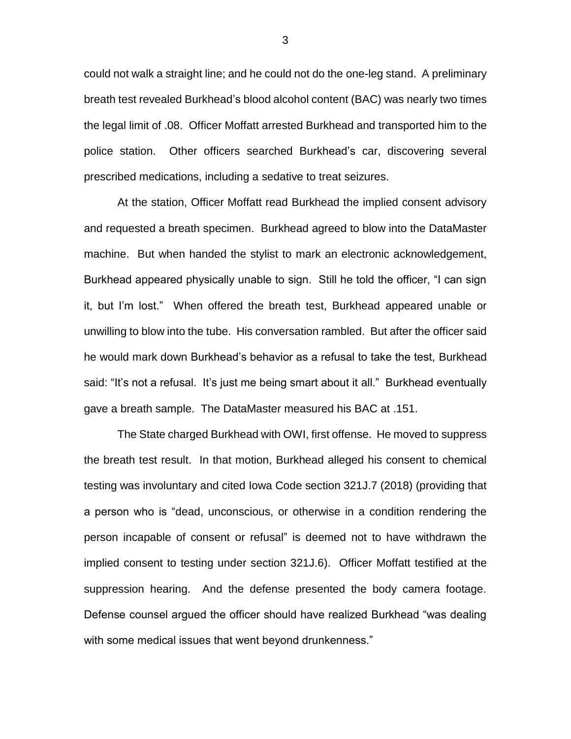could not walk a straight line; and he could not do the one-leg stand. A preliminary breath test revealed Burkhead's blood alcohol content (BAC) was nearly two times the legal limit of .08. Officer Moffatt arrested Burkhead and transported him to the police station. Other officers searched Burkhead's car, discovering several prescribed medications, including a sedative to treat seizures.

At the station, Officer Moffatt read Burkhead the implied consent advisory and requested a breath specimen. Burkhead agreed to blow into the DataMaster machine. But when handed the stylist to mark an electronic acknowledgement, Burkhead appeared physically unable to sign. Still he told the officer, "I can sign it, but I'm lost." When offered the breath test, Burkhead appeared unable or unwilling to blow into the tube. His conversation rambled. But after the officer said he would mark down Burkhead's behavior as a refusal to take the test, Burkhead said: "It's not a refusal. It's just me being smart about it all." Burkhead eventually gave a breath sample. The DataMaster measured his BAC at .151.

The State charged Burkhead with OWI, first offense. He moved to suppress the breath test result. In that motion, Burkhead alleged his consent to chemical testing was involuntary and cited Iowa Code section 321J.7 (2018) (providing that a person who is "dead, unconscious, or otherwise in a condition rendering the person incapable of consent or refusal" is deemed not to have withdrawn the implied consent to testing under section 321J.6). Officer Moffatt testified at the suppression hearing. And the defense presented the body camera footage. Defense counsel argued the officer should have realized Burkhead "was dealing with some medical issues that went beyond drunkenness."

3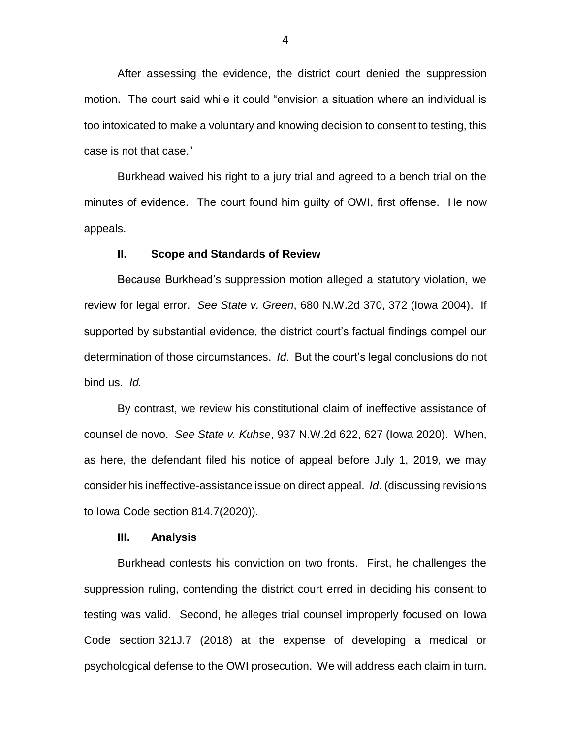After assessing the evidence, the district court denied the suppression motion. The court said while it could "envision a situation where an individual is too intoxicated to make a voluntary and knowing decision to consent to testing, this case is not that case."

Burkhead waived his right to a jury trial and agreed to a bench trial on the minutes of evidence. The court found him guilty of OWI, first offense. He now appeals.

#### **II. Scope and Standards of Review**

Because Burkhead's suppression motion alleged a statutory violation, we review for legal error. *See State v. Green*, 680 N.W.2d 370, 372 (Iowa 2004). If supported by substantial evidence, the district court's factual findings compel our determination of those circumstances. *Id*. But the court's legal conclusions do not bind us. *Id.*

By contrast, we review his constitutional claim of ineffective assistance of counsel de novo. *See State v. Kuhse*, 937 N.W.2d 622, 627 (Iowa 2020). When, as here, the defendant filed his notice of appeal before July 1, 2019, we may consider his ineffective-assistance issue on direct appeal. *Id*. (discussing revisions to Iowa Code section 814.7(2020)).

#### **III. Analysis**

Burkhead contests his conviction on two fronts. First, he challenges the suppression ruling, contending the district court erred in deciding his consent to testing was valid. Second, he alleges trial counsel improperly focused on Iowa Code section 321J.7 (2018) at the expense of developing a medical or psychological defense to the OWI prosecution. We will address each claim in turn.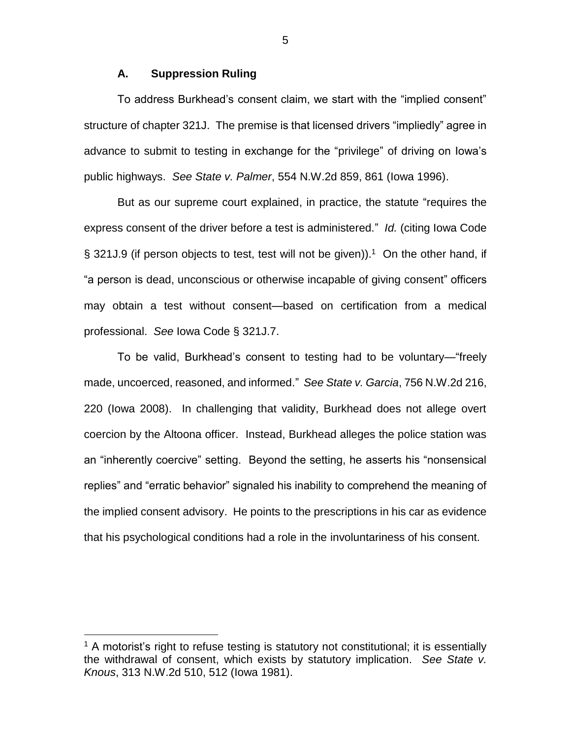### **A. Suppression Ruling**

To address Burkhead's consent claim, we start with the "implied consent" structure of chapter 321J. The premise is that licensed drivers "impliedly" agree in advance to submit to testing in exchange for the "privilege" of driving on Iowa's public highways. *See State v. Palmer*, 554 N.W.2d 859, 861 (Iowa 1996).

But as our supreme court explained, in practice, the statute "requires the express consent of the driver before a test is administered." *Id.* (citing Iowa Code § 321J.9 (if person objects to test, test will not be given)).<sup>1</sup> On the other hand, if "a person is dead, unconscious or otherwise incapable of giving consent" officers may obtain a test without consent—based on certification from a medical professional. *See* Iowa Code § 321J.7.

To be valid, Burkhead's consent to testing had to be voluntary—"freely made, uncoerced, reasoned, and informed." *See State v. Garcia*, 756 N.W.2d 216, 220 (Iowa 2008). In challenging that validity, Burkhead does not allege overt coercion by the Altoona officer. Instead, Burkhead alleges the police station was an "inherently coercive" setting. Beyond the setting, he asserts his "nonsensical replies" and "erratic behavior" signaled his inability to comprehend the meaning of the implied consent advisory. He points to the prescriptions in his car as evidence that his psychological conditions had a role in the involuntariness of his consent.

 $\overline{a}$ 

5

<sup>&</sup>lt;sup>1</sup> A motorist's right to refuse testing is statutory not constitutional; it is essentially the withdrawal of consent, which exists by statutory implication. *See State v. Knous*, 313 N.W.2d 510, 512 (Iowa 1981).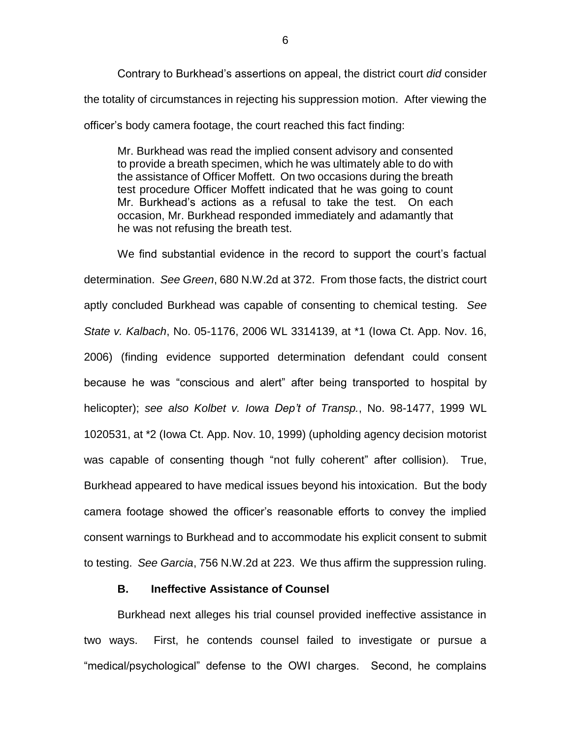Contrary to Burkhead's assertions on appeal, the district court *did* consider the totality of circumstances in rejecting his suppression motion. After viewing the officer's body camera footage, the court reached this fact finding:

Mr. Burkhead was read the implied consent advisory and consented to provide a breath specimen, which he was ultimately able to do with the assistance of Officer Moffett. On two occasions during the breath test procedure Officer Moffett indicated that he was going to count Mr. Burkhead's actions as a refusal to take the test. On each occasion, Mr. Burkhead responded immediately and adamantly that he was not refusing the breath test.

We find substantial evidence in the record to support the court's factual determination. *See Green*, 680 N.W.2d at 372. From those facts, the district court aptly concluded Burkhead was capable of consenting to chemical testing. *See State v. Kalbach*, No. 05-1176, 2006 WL 3314139, at \*1 (Iowa Ct. App. Nov. 16, 2006) (finding evidence supported determination defendant could consent because he was "conscious and alert" after being transported to hospital by helicopter); *see also Kolbet v. Iowa Dep't of Transp.*, No. 98-1477, 1999 WL 1020531, at \*2 (Iowa Ct. App. Nov. 10, 1999) (upholding agency decision motorist was capable of consenting though "not fully coherent" after collision). True, Burkhead appeared to have medical issues beyond his intoxication. But the body camera footage showed the officer's reasonable efforts to convey the implied consent warnings to Burkhead and to accommodate his explicit consent to submit to testing. *See Garcia*, 756 N.W.2d at 223. We thus affirm the suppression ruling.

## **B. Ineffective Assistance of Counsel**

Burkhead next alleges his trial counsel provided ineffective assistance in two ways. First, he contends counsel failed to investigate or pursue a "medical/psychological" defense to the OWI charges. Second, he complains